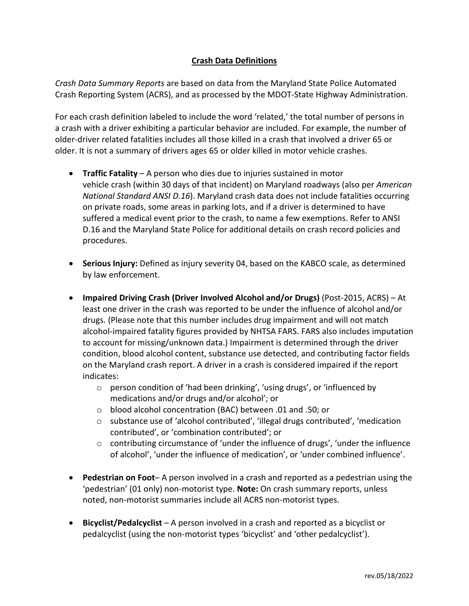## **Crash Data Definitions**

*Crash Data Summary Reports* are based on data from the Maryland State Police Automated Crash Reporting System (ACRS), and as processed by the MDOT-State Highway Administration.

For each crash definition labeled to include the word 'related,' the total number of persons in a crash with a driver exhibiting a particular behavior are included. For example, the number of older-driver related fatalities includes all those killed in a crash that involved a driver 65 or older. It is not a summary of drivers ages 65 or older killed in motor vehicle crashes.

- **Traffic Fatality**  A person who dies due to injuries sustained in motor vehicle crash (within 30 days of that incident) on Maryland roadways (also per *American National Standard ANSI D.16*). Maryland crash data does not include fatalities occurring on private roads, some areas in parking lots, and if a driver is determined to have suffered a medical event prior to the crash, to name a few exemptions. Refer to ANSI D.16 and the Maryland State Police for additional details on crash record policies and procedures.
- **Serious Injury:** Defined as injury severity 04, based on the KABCO scale, as determined by law enforcement.
- **Impaired Driving Crash (Driver Involved Alcohol and/or Drugs)** (Post-2015, ACRS) At least one driver in the crash was reported to be under the influence of alcohol and/or drugs. (Please note that this number includes drug impairment and will not match alcohol-impaired fatality figures provided by NHTSA FARS. FARS also includes imputation to account for missing/unknown data.) Impairment is determined through the driver condition, blood alcohol content, substance use detected, and contributing factor fields on the Maryland crash report. A driver in a crash is considered impaired if the report indicates:
	- o person condition of 'had been drinking', 'using drugs', or 'influenced by medications and/or drugs and/or alcohol'; or
	- o blood alcohol concentration (BAC) between .01 and .50; or
	- $\circ$  substance use of 'alcohol contributed', 'illegal drugs contributed', 'medication contributed', or 'combination contributed'; or
	- $\circ$  contributing circumstance of 'under the influence of drugs', 'under the influence of alcohol', 'under the influence of medication', or 'under combined influence'.
- **Pedestrian on Foot** A person involved in a crash and reported as a pedestrian using the 'pedestrian' (01 only) non-motorist type. **Note:** On crash summary reports, unless noted, non-motorist summaries include all ACRS non-motorist types.
- **Bicyclist/Pedalcyclist** A person involved in a crash and reported as a bicyclist or pedalcyclist (using the non-motorist types 'bicyclist' and 'other pedalcyclist').